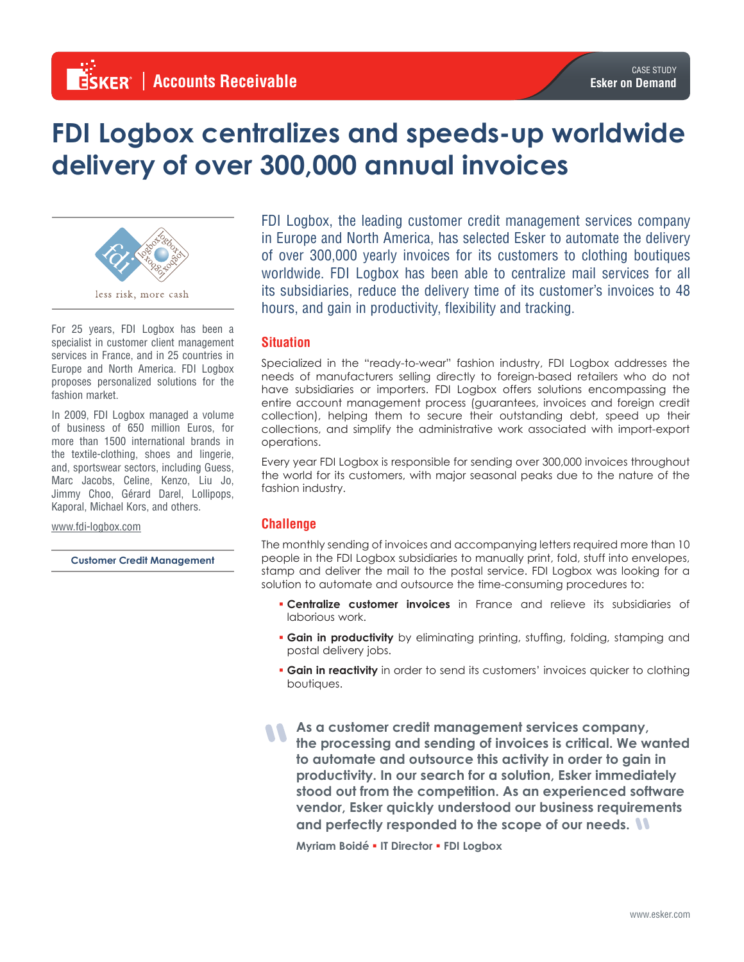# **FDI Logbox centralizes and speeds-up worldwide delivery of over 300,000 annual invoices**



For 25 years, FDI Logbox has been a specialist in customer client management services in France, and in 25 countries in Europe and North America. FDI Logbox proposes personalized solutions for the fashion market.

In 2009, FDI Logbox managed a volume of business of 650 million Euros, for more than 1500 international brands in the textile-clothing, shoes and lingerie, and, sportswear sectors, including Guess, Marc Jacobs, Celine, Kenzo, Liu Jo, Jimmy Choo, Gérard Darel, Lollipops, Kaporal, Michael Kors, and others.

www.fdi-logbox.com

**Customer Credit Management**

FDI Logbox, the leading customer credit management services company in Europe and North America, has selected Esker to automate the delivery of over 300,000 yearly invoices for its customers to clothing boutiques worldwide. FDI Logbox has been able to centralize mail services for all its subsidiaries, reduce the delivery time of its customer's invoices to 48 hours, and gain in productivity, flexibility and tracking.

## **Situation**

Specialized in the "ready-to-wear" fashion industry, FDI Logbox addresses the needs of manufacturers selling directly to foreign-based retailers who do not have subsidiaries or importers. FDI Logbox offers solutions encompassing the entire account management process (guarantees, invoices and foreign credit collection), helping them to secure their outstanding debt, speed up their collections, and simplify the administrative work associated with import-export operations.

Every year FDI Logbox is responsible for sending over 300,000 invoices throughout the world for its customers, with major seasonal peaks due to the nature of the fashion industry.

## **Challenge**

The monthly sending of invoices and accompanying letters required more than 10 people in the FDI Logbox subsidiaries to manually print, fold, stuff into envelopes, stamp and deliver the mail to the postal service. FDI Logbox was looking for a solution to automate and outsource the time-consuming procedures to:

- § **Centralize customer invoices** in France and relieve its subsidiaries of laborious work.
- **Gain in productivity** by eliminating printing, stuffing, folding, stamping and postal delivery jobs.
- **Gain in reactivity** in order to send its customers' invoices quicker to clothing boutiques.
- **As a customer credit management services company, the processing and sending of invoices is critical. We wanted to automate and outsource this activity in order to gain in productivity. In our search for a solution, Esker immediately stood out from the competition. As an experienced software vendor, Esker quickly understood our business requirements and perfectly responded to the scope of our needs.**

**Myriam Boidé** § **IT Director** § **FDI Logbox**